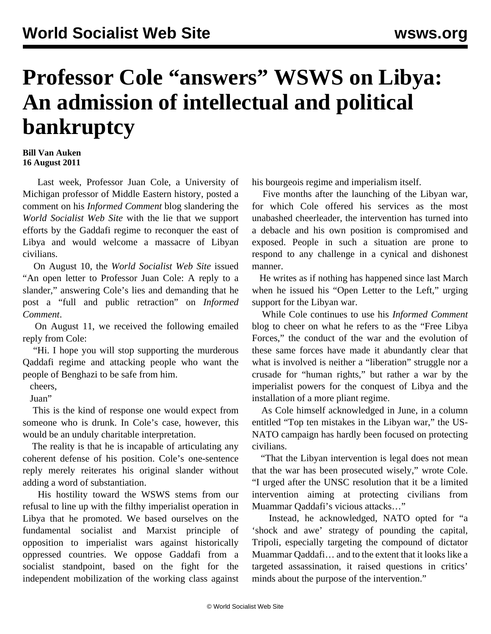## **Professor Cole "answers" WSWS on Libya: An admission of intellectual and political bankruptcy**

## **Bill Van Auken 16 August 2011**

 Last week, Professor Juan Cole, a University of Michigan professor of Middle Eastern history, posted a comment on his *Informed Comment* blog slandering the *World Socialist Web Site* with the lie that we support efforts by the Gaddafi regime to reconquer the east of Libya and would welcome a massacre of Libyan civilians.

 On August 10, the *World Socialist Web Site* issued "[An open letter to Professor Juan Cole: A reply to a](/en/articles/2011/aug2011/cole-a10.shtml) [slander](/en/articles/2011/aug2011/cole-a10.shtml)," answering Cole's lies and demanding that he post a "full and public retraction" on *Informed Comment*.

 On August 11, we received the following emailed reply from Cole:

 "Hi. I hope you will stop supporting the murderous Qaddafi regime and attacking people who want the people of Benghazi to be safe from him.

cheers,

Juan"

 This is the kind of response one would expect from someone who is drunk. In Cole's case, however, this would be an unduly charitable interpretation.

 The reality is that he is incapable of articulating any coherent defense of his position. Cole's one-sentence reply merely reiterates his original slander without adding a word of substantiation.

 His hostility toward the WSWS stems from our refusal to line up with the filthy imperialist operation in Libya that he promoted. We based ourselves on the fundamental socialist and Marxist principle of opposition to imperialist wars against historically oppressed countries. We oppose Gaddafi from a socialist standpoint, based on the fight for the independent mobilization of the working class against

his bourgeois regime and imperialism itself.

 Five months after the launching of the Libyan war, for which Cole offered his services as the most unabashed cheerleader, the intervention has turned into a debacle and his own position is compromised and exposed. People in such a situation are prone to respond to any challenge in a cynical and dishonest manner.

 He writes as if nothing has happened since last March when he issued his "Open Letter to the Left," urging support for the Libyan war.

 While Cole continues to use his *Informed Comment* blog to cheer on what he refers to as the "Free Libya Forces," the conduct of the war and the evolution of these same forces have made it abundantly clear that what is involved is neither a "liberation" struggle nor a crusade for "human rights," but rather a war by the imperialist powers for the conquest of Libya and the installation of a more pliant regime.

 As Cole himself acknowledged in June, in a column entitled "Top ten mistakes in the Libyan war," the US-NATO campaign has hardly been focused on protecting civilians.

 "That the Libyan intervention is legal does not mean that the war has been prosecuted wisely," wrote Cole. "I urged after the UNSC resolution that it be a limited intervention aiming at protecting civilians from Muammar Qaddafi's vicious attacks…"

 Instead, he acknowledged, NATO opted for "a 'shock and awe' strategy of pounding the capital, Tripoli, especially targeting the compound of dictator Muammar Qaddafi… and to the extent that it looks like a targeted assassination, it raised questions in critics' minds about the purpose of the intervention."